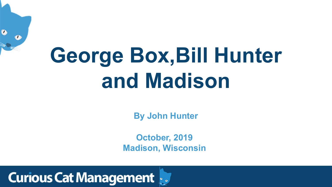

 $\bullet$ 

**By John Hunter**

# **George Box,Bill Hunter and Madison**



**October, 2019 Madison, Wisconsin**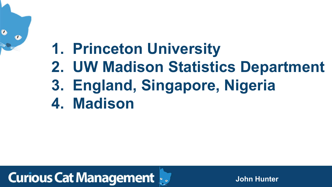



# **1. Princeton University 2. UW Madison Statistics Department 3. England, Singapore, Nigeria 4. Madison**

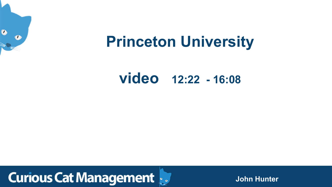

# **Princeton University**

#### **video 12:22 - 16:08**

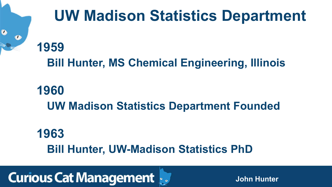# **UW Madison Statistics Department**

#### **1959 Bill Hunter, MS Chemical Engineering, Illinois**

#### **1960 UW Madison Statistics Department Founded**

#### **1963 Bill Hunter, UW-Madison Statistics PhD**

#### **Curious Cat Management**

 $\bullet$ 

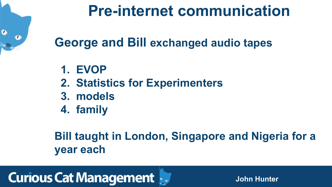



## **Pre-internet communication**

## **George and Bill exchanged audio tapes**

- **1. EVOP**
- **2. Statistics for Experimenters**
- **3. models**
- **4. family**

#### **Bill taught in London, Singapore and Nigeria for a year each**

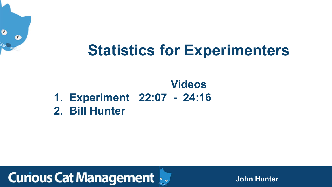### **Statistics for Experimenters**

# **Videos**





#### **1. Experiment 22:07 - 24:16 2. Bill Hunter**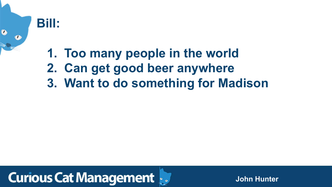

### **1. Too many people in the world 2. Can get good beer anywhere 3. Want to do something for Madison**

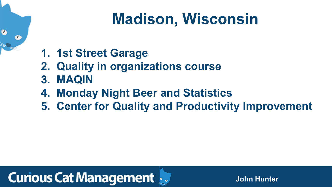## **Madison, Wisconsin**

**1. 1st Street Garage**

 $\bullet$ 

- **2. Quality in organizations course 3. MAQIN**
- **4. Monday Night Beer and Statistics**
- 

#### **Curious Cat Management**

# **5. Center for Quality and Productivity Improvement**

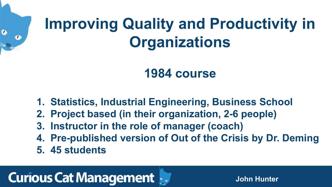

# **Improving Quality and Productivity in Organizations**

#### **1984 course**

**1. Statistics, Industrial Engineering, Business School 2. Project based (in their organization, 2-6 people) 4. Pre-published version of Out of the Crisis by Dr. Deming**



- 
- 
- **3. Instructor in the role of manager (coach)**
- 
- **5. 45 students**